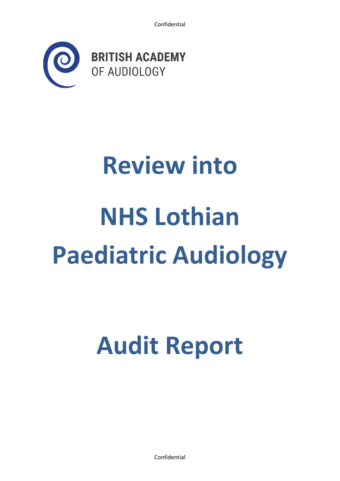

# **Review into NHS Lothian Paediatric Audiology**

# **Audit Report**

Confidential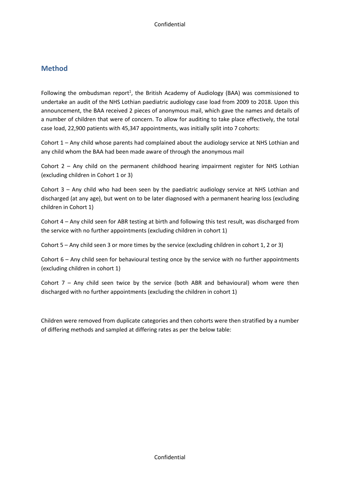# **Method**

Following the ombudsman report<sup>1</sup>, the British Academy of Audiology (BAA) was commissioned to undertake an audit of the NHS Lothian paediatric audiology case load from 2009 to 2018. Upon this announcement, the BAA received 2 pieces of anonymous mail, which gave the names and details of a number of children that were of concern. To allow for auditing to take place effectively, the total case load, 22,900 patients with 45,347 appointments, was initially split into 7 cohorts:

Cohort 1 – Any child whose parents had complained about the audiology service at NHS Lothian and any child whom the BAA had been made aware of through the anonymous mail

Cohort  $2 - Any child on the permanent childhood hearing impairment registered.$ (excluding children in Cohort 1 or 3)

Cohort 3 – Any child who had been seen by the paediatric audiology service at NHS Lothian and discharged (at any age), but went on to be later diagnosed with a permanent hearing loss (excluding children in Cohort 1)

Cohort 4 – Any child seen for ABR testing at birth and following this test result, was discharged from the service with no further appointments (excluding children in cohort 1)

Cohort 5 – Any child seen 3 or more times by the service (excluding children in cohort 1, 2 or 3)

Cohort 6 – Any child seen for behavioural testing once by the service with no further appointments (excluding children in cohort 1)

Cohort  $7 -$  Any child seen twice by the service (both ABR and behavioural) whom were then discharged with no further appointments (excluding the children in cohort 1)

Children were removed from duplicate categories and then cohorts were then stratified by a number of differing methods and sampled at differing rates as per the below table: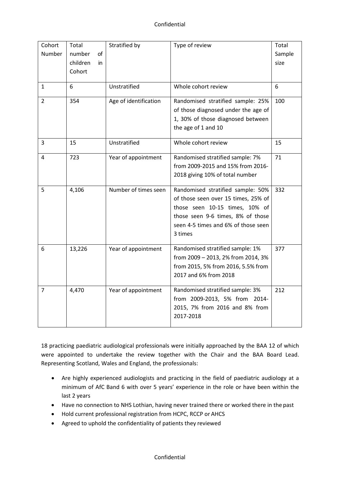| Cohort<br>Number | Total<br>number<br>οf        | Stratified by        | Type of review                      | Total<br>Sample |
|------------------|------------------------------|----------------------|-------------------------------------|-----------------|
|                  | children<br>in               |                      |                                     | size            |
|                  | Cohort                       |                      |                                     |                 |
|                  |                              |                      |                                     |                 |
| $\mathbf{1}$     | 6                            | Unstratified         | Whole cohort review                 | 6               |
| $\overline{2}$   | 354<br>Age of identification |                      | Randomised stratified sample: 25%   | 100             |
|                  |                              |                      | of those diagnosed under the age of |                 |
|                  |                              |                      | 1, 30% of those diagnosed between   |                 |
|                  |                              |                      | the age of 1 and 10                 |                 |
| 3                | 15                           | Unstratified         | Whole cohort review                 | 15              |
| 4                | 723                          | Year of appointment  | Randomised stratified sample: 7%    | 71              |
|                  |                              |                      | from 2009-2015 and 15% from 2016-   |                 |
|                  |                              |                      | 2018 giving 10% of total number     |                 |
| 5                | 4,106                        | Number of times seen | Randomised stratified sample: 50%   | 332             |
|                  |                              |                      | of those seen over 15 times, 25% of |                 |
|                  |                              |                      | those seen 10-15 times, 10% of      |                 |
|                  |                              |                      | those seen 9-6 times, 8% of those   |                 |
|                  |                              |                      | seen 4-5 times and 6% of those seen |                 |
|                  |                              |                      | 3 times                             |                 |
| 6                | 13,226                       | Year of appointment  | Randomised stratified sample: 1%    | 377             |
|                  |                              |                      | from 2009 - 2013, 2% from 2014, 3%  |                 |
|                  |                              |                      | from 2015, 5% from 2016, 5.5% from  |                 |
|                  |                              |                      | 2017 and 6% from 2018               |                 |
| $\overline{7}$   | 4,470                        | Year of appointment  | Randomised stratified sample: 3%    | 212             |
|                  |                              |                      | from 2009-2013, 5% from 2014-       |                 |
|                  |                              |                      | 2015, 7% from 2016 and 8% from      |                 |
|                  |                              |                      | 2017-2018                           |                 |

18 practicing paediatric audiological professionals were initially approached by the BAA 12 of which were appointed to undertake the review together with the Chair and the BAA Board Lead. Representing Scotland, Wales and England, the professionals:

- Are highly experienced audiologists and practicing in the field of paediatric audiology at a minimum of AfC Band 6 with over 5 years' experience in the role or have been within the last 2 years
- Have no connection to NHS Lothian, having never trained there or worked there in the past
- Hold current professional registration from HCPC, RCCP or AHCS
- Agreed to uphold the confidentiality of patients they reviewed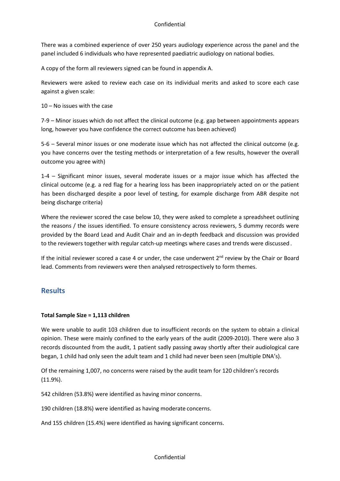There was a combined experience of over 250 years audiology experience across the panel and the panel included 6 individuals who have represented paediatric audiology on national bodies.

A copy of the form all reviewers signed can be found in appendix A.

Reviewers were asked to review each case on its individual merits and asked to score each case against a given scale:

10 – No issues with the case

7-9 – Minor issues which do not affect the clinical outcome (e.g. gap between appointments appears long, however you have confidence the correct outcome has been achieved)

5-6 – Several minor issues or one moderate issue which has not affected the clinical outcome (e.g. you have concerns over the testing methods or interpretation of a few results, however the overall outcome you agree with)

1-4 – Significant minor issues, several moderate issues or a major issue which has affected the clinical outcome (e.g. a red flag for a hearing loss has been inappropriately acted on or the patient has been discharged despite a poor level of testing, for example discharge from ABR despite not being discharge criteria)

Where the reviewer scored the case below 10, they were asked to complete a spreadsheet outlining the reasons / the issues identified. To ensure consistency across reviewers, 5 dummy records were provided by the Board Lead and Audit Chair and an in-depth feedback and discussion was provided to the reviewers together with regular catch-up meetings where cases and trends were discussed .

If the initial reviewer scored a case 4 or under, the case underwent  $2<sup>nd</sup>$  review by the Chair or Board lead. Comments from reviewers were then analysed retrospectively to form themes.

# **Results**

#### **Total Sample Size = 1,113 children**

We were unable to audit 103 children due to insufficient records on the system to obtain a clinical opinion. These were mainly confined to the early years of the audit (2009-2010). There were also 3 records discounted from the audit, 1 patient sadly passing away shortly after their audiological care began, 1 child had only seen the adult team and 1 child had never been seen (multiple DNA's).

Of the remaining 1,007, no concerns were raised by the audit team for 120 children's records (11.9%).

542 children (53.8%) were identified as having minor concerns.

190 children (18.8%) were identified as having moderate concerns.

And 155 children (15.4%) were identified as having significant concerns.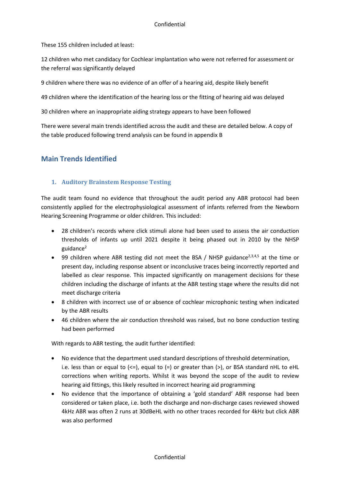These 155 children included at least:

12 children who met candidacy for Cochlear implantation who were not referred for assessment or the referral was significantly delayed

9 children where there was no evidence of an offer of a hearing aid, despite likely benefit

49 children where the identification of the hearing loss or the fitting of hearing aid was delayed

30 children where an inappropriate aiding strategy appears to have been followed

There were several main trends identified across the audit and these are detailed below. A copy of the table produced following trend analysis can be found in appendix B

# **Main Trends Identified**

#### **1. Auditory Brainstem Response Testing**

The audit team found no evidence that throughout the audit period any ABR protocol had been consistently applied for the electrophysiological assessment of infants referred from the Newborn Hearing Screening Programme or older children. This included:

- 28 children's records where click stimuli alone had been used to assess the air conduction thresholds of infants up until 2021 despite it being phased out in 2010 by the NHSP guidance $2$
- 99 children where ABR testing did not meet the BSA / NHSP guidance<sup>2,3,4,5</sup> at the time or present day, including response absent or inconclusive traces being incorrectly reported and labelled as clear response. This impacted significantly on management decisions for these children including the discharge of infants at the ABR testing stage where the results did not meet discharge criteria
- 8 children with incorrect use of or absence of cochlear microphonic testing when indicated by the ABR results
- 46 children where the air conduction threshold was raised, but no bone conduction testing had been performed

With regards to ABR testing, the audit further identified:

- No evidence that the department used standard descriptions of threshold determination, i.e. less than or equal to  $\left\langle \leq\right\rangle$ , equal to  $\left( =\right)$  or greater than  $\left( >\right)$ , or BSA standard nHL to eHL corrections when writing reports. Whilst it was beyond the scope of the audit to review hearing aid fittings, this likely resulted in incorrect hearing aid programming
- No evidence that the importance of obtaining a 'gold standard' ABR response had been considered or taken place, i.e. both the discharge and non-discharge cases reviewed showed 4kHz ABR was often 2 runs at 30dBeHL with no other traces recorded for 4kHz but click ABR was also performed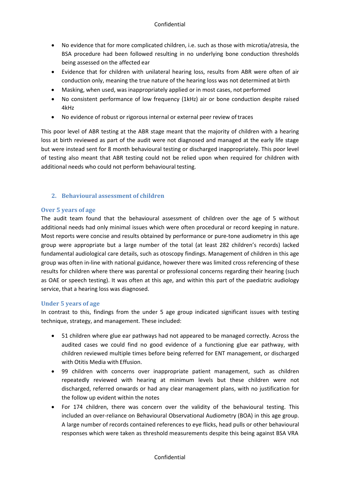- No evidence that for more complicated children, i.e. such as those with microtia/atresia, the BSA procedure had been followed resulting in no underlying bone conduction thresholds being assessed on the affected ear
- Evidence that for children with unilateral hearing loss, results from ABR were often of air conduction only, meaning the true nature of the hearing loss was not determined at birth
- Masking, when used, was inappropriately applied or in most cases, not performed
- No consistent performance of low frequency (1kHz) air or bone conduction despite raised 4kHz
- No evidence of robust or rigorous internal or external peer review of traces

This poor level of ABR testing at the ABR stage meant that the majority of children with a hearing loss at birth reviewed as part of the audit were not diagnosed and managed at the early life stage but were instead sent for 8 month behavioural testing or discharged inappropriately. This poor level of testing also meant that ABR testing could not be relied upon when required for children with additional needs who could not perform behavioural testing.

#### **2. Behavioural assessment of children**

#### **Over 5 years of age**

The audit team found that the behavioural assessment of children over the age of 5 without additional needs had only minimal issues which were often procedural or record keeping in nature. Most reports were concise and results obtained by performance or pure-tone audiometry in this age group were appropriate but a large number of the total (at least 282 children's records) lacked fundamental audiological care details, such as otoscopy findings. Management of children in this age group was often in-line with national guidance, however there was limited cross referencing of these results for children where there was parental or professional concerns regarding their hearing (such as OAE or speech testing). It was often at this age, and within this part of the paediatric audiology service, that a hearing loss was diagnosed.

#### **Under 5 years of age**

In contrast to this, findings from the under 5 age group indicated significant issues with testing technique, strategy, and management. These included:

- 51 children where glue ear pathways had not appeared to be managed correctly. Across the audited cases we could find no good evidence of a functioning glue ear pathway, with children reviewed multiple times before being referred for ENT management, or discharged with Otitis Media with Effusion.
- 99 children with concerns over inappropriate patient management, such as children repeatedly reviewed with hearing at minimum levels but these children were not discharged, referred onwards or had any clear management plans, with no justification for the follow up evident within the notes
- For 174 children, there was concern over the validity of the behavioural testing. This included an over-reliance on Behavioural Observational Audiometry (BOA) in this age group. A large number of records contained references to eye flicks, head pulls or other behavioural responses which were taken as threshold measurements despite this being against BSA VRA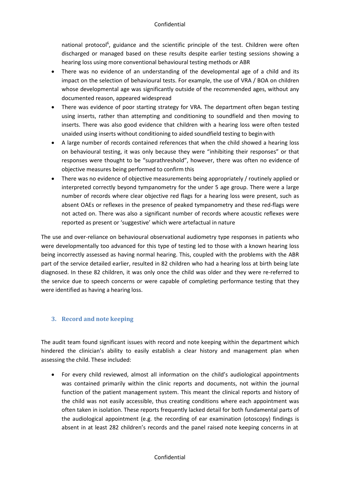national protocol<sup>6</sup>, guidance and the scientific principle of the test. Children were often discharged or managed based on these results despite earlier testing sessions showing a hearing loss using more conventional behavioural testing methods or ABR

- There was no evidence of an understanding of the developmental age of a child and its impact on the selection of behavioural tests. For example, the use of VRA / BOA on children whose developmental age was significantly outside of the recommended ages, without any documented reason, appeared widespread
- There was evidence of poor starting strategy for VRA. The department often began testing using inserts, rather than attempting and conditioning to soundfield and then moving to inserts. There was also good evidence that children with a hearing loss were often tested unaided using inserts without conditioning to aided soundfield testing to beginwith
- A large number of records contained references that when the child showed a hearing loss on behavioural testing, it was only because they were "inhibiting their responses" or that responses were thought to be "suprathreshold", however, there was often no evidence of objective measures being performed to confirm this
- There was no evidence of objective measurements being appropriately / routinely applied or interpreted correctly beyond tympanometry for the under 5 age group. There were a large number of records where clear objective red flags for a hearing loss were present, such as absent OAEs or reflexes in the presence of peaked tympanometry and these red-flags were not acted on. There was also a significant number of records where acoustic reflexes were reported as present or 'suggestive' which were artefactual in nature

The use and over-reliance on behavioural observational audiometry type responses in patients who were developmentally too advanced for this type of testing led to those with a known hearing loss being incorrectly assessed as having normal hearing. This, coupled with the problems with the ABR part of the service detailed earlier, resulted in 82 children who had a hearing loss at birth being late diagnosed. In these 82 children, it was only once the child was older and they were re-referred to the service due to speech concerns or were capable of completing performance testing that they were identified as having a hearing loss.

#### **3. Record and note keeping**

The audit team found significant issues with record and note keeping within the department which hindered the clinician's ability to easily establish a clear history and management plan when assessing the child. These included:

• For every child reviewed, almost all information on the child's audiological appointments was contained primarily within the clinic reports and documents, not within the journal function of the patient management system. This meant the clinical reports and history of the child was not easily accessible, thus creating conditions where each appointment was often taken in isolation. These reports frequently lacked detail for both fundamental parts of the audiological appointment (e.g. the recording of ear examination (otoscopy) findings is absent in at least 282 children's records and the panel raised note keeping concerns in at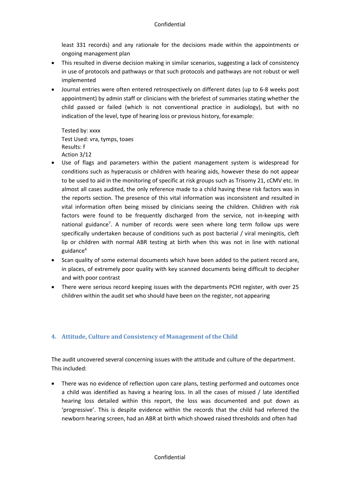least 331 records) and any rationale for the decisions made within the appointments or ongoing management plan

- This resulted in diverse decision making in similar scenarios, suggesting a lack of consistency in use of protocols and pathways or that such protocols and pathways are not robust or well implemented
- Journal entries were often entered retrospectively on different dates (up to 6-8 weeks post appointment) by admin staff or clinicians with the briefest of summaries stating whether the child passed or failed (which is not conventional practice in audiology), but with no indication of the level, type of hearing loss or previous history, for example:

Tested by: xxxx Test Used: vra, tymps, toaes Results: f Action 3/12

- Use of flags and parameters within the patient management system is widespread for conditions such as hyperacusis or children with hearing aids, however these do not appear to be used to aid in the monitoring of specific at risk groups such as Trisomy 21, cCMV etc. In almost all cases audited, the only reference made to a child having these risk factors was in the reports section. The presence of this vital information was inconsistent and resulted in vital information often being missed by clinicians seeing the children. Children with risk factors were found to be frequently discharged from the service, not in-keeping with national guidance<sup>7</sup>. A number of records were seen where long term follow ups were specifically undertaken because of conditions such as post bacterial / viral meningitis, cleft lip or children with normal ABR testing at birth when this was not in line with national guidance4
- Scan quality of some external documents which have been added to the patient record are, in places, of extremely poor quality with key scanned documents being difficult to decipher and with poor contrast
- There were serious record keeping issues with the departments PCHI register, with over 25 children within the audit set who should have been on the register, not appearing

#### **4. Attitude, Culture and Consistency of Management of the Child**

The audit uncovered several concerning issues with the attitude and culture of the department. This included:

• There was no evidence of reflection upon care plans, testing performed and outcomes once a child was identified as having a hearing loss. In all the cases of missed / late identified hearing loss detailed within this report, the loss was documented and put down as 'progressive'. This is despite evidence within the records that the child had referred the newborn hearing screen, had an ABR at birth which showed raised thresholds and often had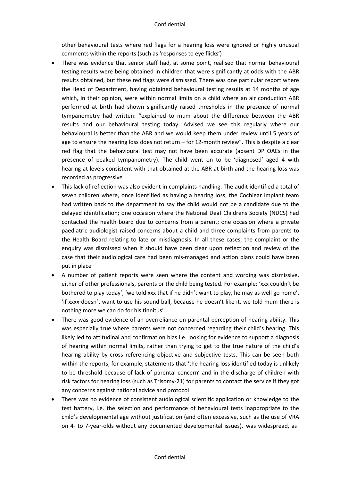other behavioural tests where red flags for a hearing loss were ignored or highly unusual comments within the reports (such as 'responses to eye flicks')

- There was evidence that senior staff had, at some point, realised that normal behavioural testing results were being obtained in children that were significantly at odds with the ABR results obtained, but these red flags were dismissed. There was one particular report where the Head of Department, having obtained behavioural testing results at 14 months of age which, in their opinion, were within normal limits on a child where an air conduction ABR performed at birth had shown significantly raised thresholds in the presence of normal tympanometry had written: "explained to mum about the difference between the ABR results and our behavioural testing today. Advised we see this regularly where our behavioural is better than the ABR and we would keep them under review until 5 years of age to ensure the hearing loss does not return – for 12-month review". This is despite a clear red flag that the behavioural test may not have been accurate (absent DP OAEs in the presence of peaked tympanometry). The child went on to be 'diagnosed' aged 4 with hearing at levels consistent with that obtained at the ABR at birth and the hearing loss was recorded as progressive
- This lack of reflection was also evident in complaints handling. The audit identified a total of seven children where, once identified as having a hearing loss, the Cochlear Implant team had written back to the department to say the child would not be a candidate due to the delayed identification; one occasion where the National Deaf Childrens Society (NDCS) had contacted the health board due to concerns from a parent; one occasion where a private paediatric audiologist raised concerns about a child and three complaints from parents to the Health Board relating to late or misdiagnosis. In all these cases, the complaint or the enquiry was dismissed when it should have been clear upon reflection and review of the case that their audiological care had been mis-managed and action plans could have been put in place
- A number of patient reports were seen where the content and wording was dismissive, either of other professionals, parents or the child being tested. For example: 'xxx couldn't be bothered to play today', 'we told xxx that if he didn't want to play, he may as well go home', 'if xxxx doesn't want to use his sound ball, because he doesn't like it, we told mum there is nothing more we can do for his tinnitus'
- There was good evidence of an overreliance on parental perception of hearing ability. This was especially true where parents were not concerned regarding their child's hearing. This likely led to attitudinal and confirmation bias i.e. looking for evidence to support a diagnosis of hearing within normal limits, rather than trying to get to the true nature of the child's hearing ability by cross referencing objective and subjective tests. This can be seen both within the reports, for example, statements that 'the hearing loss identified today is unlikely to be threshold because of lack of parental concern' and in the discharge of children with risk factors for hearing loss (such as Trisomy-21) for parents to contact the service if they got any concerns against national advice and protocol
- There was no evidence of consistent audiological scientific application or knowledge to the test battery, i.e. the selection and performance of behavioural tests inappropriate to the child's developmental age without justification (and often excessive, such as the use of VRA on 4- to 7-year-olds without any documented developmental issues), was widespread, as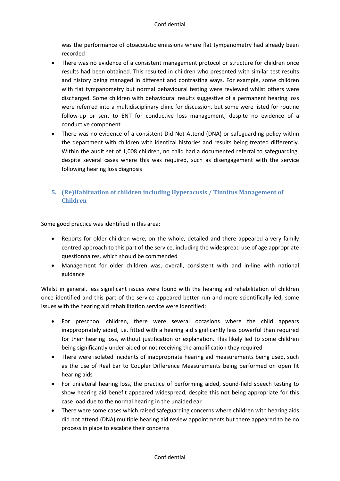was the performance of otoacoustic emissions where flat tympanometry had already been recorded

- There was no evidence of a consistent management protocol or structure for children once results had been obtained. This resulted in children who presented with similar test results and history being managed in different and contrasting ways. For example, some children with flat tympanometry but normal behavioural testing were reviewed whilst others were discharged. Some children with behavioural results suggestive of a permanent hearing loss were referred into a multidisciplinary clinic for discussion, but some were listed for routine follow-up or sent to ENT for conductive loss management, despite no evidence of a conductive component
- There was no evidence of a consistent Did Not Attend (DNA) or safeguarding policy within the department with children with identical histories and results being treated differently. Within the audit set of 1,008 children, no child had a documented referral to safeguarding, despite several cases where this was required, such as disengagement with the service following hearing loss diagnosis

### **5. (Re)Habituation of children including Hyperacusis / Tinnitus Management of Children**

Some good practice was identified in this area:

- Reports for older children were, on the whole, detailed and there appeared a very family centred approach to this part of the service, including the widespread use of age appropriate questionnaires, which should be commended
- Management for older children was, overall, consistent with and in-line with national guidance

Whilst in general, less significant issues were found with the hearing aid rehabilitation of children once identified and this part of the service appeared better run and more scientifically led, some issues with the hearing aid rehabilitation service were identified:

- For preschool children, there were several occasions where the child appears inappropriately aided, i.e. fitted with a hearing aid significantly less powerful than required for their hearing loss, without justification or explanation. This likely led to some children being significantly under-aided or not receiving the amplification they required
- There were isolated incidents of inappropriate hearing aid measurements being used, such as the use of Real Ear to Coupler Difference Measurements being performed on open fit hearing aids
- For unilateral hearing loss, the practice of performing aided, sound-field speech testing to show hearing aid benefit appeared widespread, despite this not being appropriate for this case load due to the normal hearing in the unaided ear
- There were some cases which raised safeguarding concerns where children with hearing aids did not attend (DNA) multiple hearing aid review appointments but there appeared to be no process in place to escalate their concerns

#### Confidential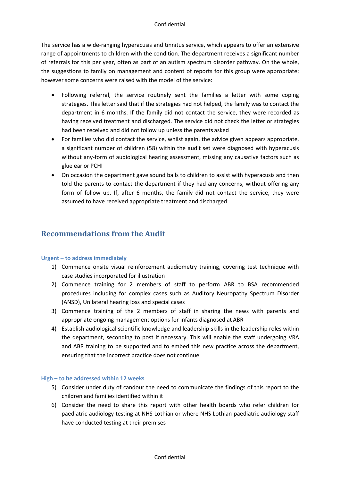The service has a wide-ranging hyperacusis and tinnitus service, which appears to offer an extensive range of appointments to children with the condition. The department receives a significant number of referrals for this per year, often as part of an autism spectrum disorder pathway. On the whole, the suggestions to family on management and content of reports for this group were appropriate; however some concerns were raised with the model of the service:

- Following referral, the service routinely sent the families a letter with some coping strategies. This letter said that if the strategies had not helped, the family was to contact the department in 6 months. If the family did not contact the service, they were recorded as having received treatment and discharged. The service did not check the letter or strategies had been received and did not follow up unless the parents asked
- For families who did contact the service, whilst again, the advice given appears appropriate, a significant number of children (58) within the audit set were diagnosed with hyperacusis without any-form of audiological hearing assessment, missing any causative factors such as glue ear or PCHI
- On occasion the department gave sound balls to children to assist with hyperacusis and then told the parents to contact the department if they had any concerns, without offering any form of follow up. If, after 6 months, the family did not contact the service, they were assumed to have received appropriate treatment and discharged

# **Recommendations from the Audit**

#### **Urgent – to address immediately**

- 1) Commence onsite visual reinforcement audiometry training, covering test technique with case studies incorporated for illustration
- 2) Commence training for 2 members of staff to perform ABR to BSA recommended procedures including for complex cases such as Auditory Neuropathy Spectrum Disorder (ANSD), Unilateral hearing loss and special cases
- 3) Commence training of the 2 members of staff in sharing the news with parents and appropriate ongoing management options for infants diagnosed at ABR
- 4) Establish audiological scientific knowledge and leadership skills in the leadership roles within the department, seconding to post if necessary. This will enable the staff undergoing VRA and ABR training to be supported and to embed this new practice across the department, ensuring that the incorrect practice does not continue

#### **High – to be addressed within 12 weeks**

- 5) Consider under duty of candour the need to communicate the findings of this report to the children and families identified within it
- 6) Consider the need to share this report with other health boards who refer children for paediatric audiology testing at NHS Lothian or where NHS Lothian paediatric audiology staff have conducted testing at their premises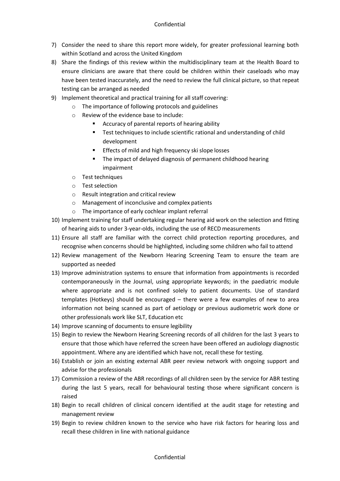- 7) Consider the need to share this report more widely, for greater professional learning both within Scotland and across the United Kingdom
- 8) Share the findings of this review within the multidisciplinary team at the Health Board to ensure clinicians are aware that there could be children within their caseloads who may have been tested inaccurately, and the need to review the full clinical picture, so that repeat testing can be arranged as needed
- 9) Implement theoretical and practical training for all staff covering:
	- o The importance of following protocols and guidelines
	- o Review of the evidence base to include:
		- **EXTERGHTM** Accuracy of parental reports of hearing ability
		- **Test techniques to include scientific rational and understanding of child** development
		- **Effects of mild and high frequency ski slope losses**
		- The impact of delayed diagnosis of permanent childhood hearing impairment
	- o Test techniques
	- o Test selection
	- o Result integration and critical review
	- o Management of inconclusive and complex patients
	- o The importance of early cochlear implant referral
- 10) Implement training for staff undertaking regular hearing aid work on the selection and fitting of hearing aids to under 3-year-olds, including the use of RECD measurements
- 11) Ensure all staff are familiar with the correct child protection reporting procedures, and recognise when concerns should be highlighted, including some children who fail to attend
- 12) Review management of the Newborn Hearing Screening Team to ensure the team are supported as needed
- 13) Improve administration systems to ensure that information from appointments is recorded contemporaneously in the Journal, using appropriate keywords; in the paediatric module where appropriate and is not confined solely to patient documents. Use of standard templates (Hotkeys) should be encouraged – there were a few examples of new to area information not being scanned as part of aetiology or previous audiometric work done or other professionals work like SLT, Education etc
- 14) Improve scanning of documents to ensure legibility
- 15) Begin to review the Newborn Hearing Screening records of all children for the last 3 years to ensure that those which have referred the screen have been offered an audiology diagnostic appointment. Where any are identified which have not, recall these for testing.
- 16) Establish or join an existing external ABR peer review network with ongoing support and advise for the professionals
- 17) Commission a review of the ABR recordings of all children seen by the service for ABR testing during the last 5 years, recall for behavioural testing those where significant concern is raised
- 18) Begin to recall children of clinical concern identified at the audit stage for retesting and management review
- 19) Begin to review children known to the service who have risk factors for hearing loss and recall these children in line with national guidance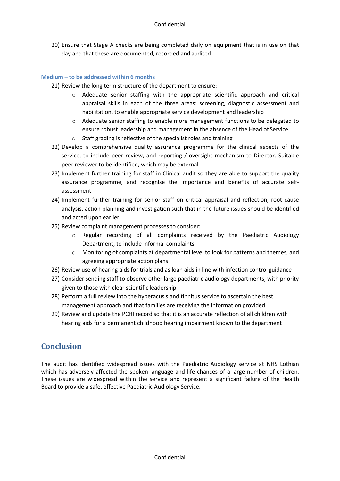20) Ensure that Stage A checks are being completed daily on equipment that is in use on that day and that these are documented, recorded and audited

#### **Medium – to be addressed within 6 months**

- 21) Review the long term structure of the department to ensure:
	- Adequate senior staffing with the appropriate scientific approach and critical appraisal skills in each of the three areas: screening, diagnostic assessment and habilitation, to enable appropriate service development and leadership
	- o Adequate senior staffing to enable more management functions to be delegated to ensure robust leadership and management in the absence of the Head of Service.
	- o Staff grading is reflective of the specialist roles and training
- 22) Develop a comprehensive quality assurance programme for the clinical aspects of the service, to include peer review, and reporting / oversight mechanism to Director. Suitable peer reviewer to be identified, which may be external
- 23) Implement further training for staff in Clinical audit so they are able to support the quality assurance programme, and recognise the importance and benefits of accurate selfassessment
- 24) Implement further training for senior staff on critical appraisal and reflection, root cause analysis, action planning and investigation such that in the future issues should be identified and acted upon earlier
- 25) Review complaint management processes to consider:
	- o Regular recording of all complaints received by the Paediatric Audiology Department, to include informal complaints
	- o Monitoring of complaints at departmental level to look for patterns and themes, and agreeing appropriate action plans
- 26) Review use of hearing aids for trials and as loan aids in line with infection control guidance
- 27) Consider sending staff to observe other large paediatric audiology departments, with priority given to those with clear scientific leadership
- 28) Perform a full review into the hyperacusis and tinnitus service to ascertain the best management approach and that families are receiving the information provided
- 29) Review and update the PCHI record so that it is an accurate reflection of all children with hearing aids for a permanent childhood hearing impairment known to the department

# **Conclusion**

The audit has identified widespread issues with the Paediatric Audiology service at NHS Lothian which has adversely affected the spoken language and life chances of a large number of children. These issues are widespread within the service and represent a significant failure of the Health Board to provide a safe, effective Paediatric Audiology Service.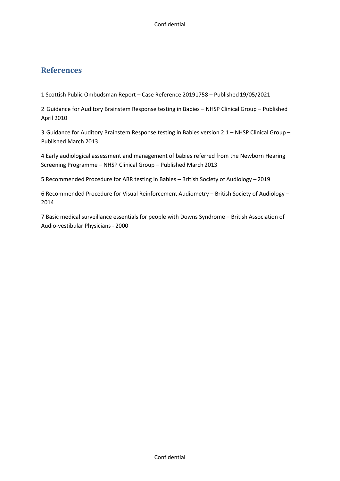# **References**

1 Scottish Public Ombudsman Report – Case Reference 20191758 – Published 19/05/2021

2 Guidance for Auditory Brainstem Response testing in Babies – NHSP Clinical Group – Published April 2010

3 Guidance for Auditory Brainstem Response testing in Babies version 2.1 – NHSP Clinical Group – Published March 2013

4 Early audiological assessment and management of babies referred from the Newborn Hearing Screening Programme – NHSP Clinical Group – Published March 2013

5 Recommended Procedure for ABR testing in Babies – British Society of Audiology – 2019

6 Recommended Procedure for Visual Reinforcement Audiometry – British Society of Audiology – 2014

7 Basic medical surveillance essentials for people with Downs Syndrome – British Association of Audio-vestibular Physicians - 2000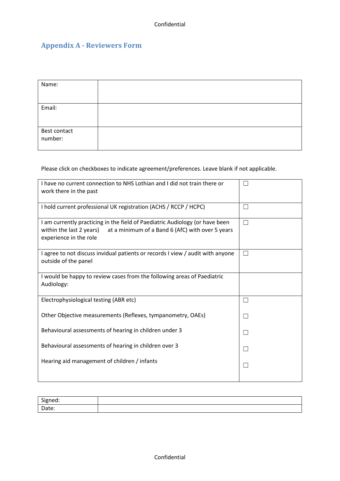# **Appendix A - Reviewers Form**

| Name:        |  |
|--------------|--|
|              |  |
| Email:       |  |
|              |  |
|              |  |
| Best contact |  |
| number:      |  |
|              |  |
|              |  |

Please click on checkboxes to indicate agreement/preferences. Leave blank if not applicable.

| I have no current connection to NHS Lothian and I did not train there or<br>work there in the past                                                                                     |        |
|----------------------------------------------------------------------------------------------------------------------------------------------------------------------------------------|--------|
| I hold current professional UK registration (ACHS / RCCP / HCPC)                                                                                                                       | $\Box$ |
| I am currently practicing in the field of Paediatric Audiology (or have been<br>within the last 2 years)<br>at a minimum of a Band 6 (AfC) with over 5 years<br>experience in the role | $\Box$ |
| I agree to not discuss invidual patients or records I view / audit with anyone<br>outside of the panel                                                                                 |        |
| I would be happy to review cases from the following areas of Paediatric<br>Audiology:                                                                                                  |        |
| Electrophysiological testing (ABR etc)                                                                                                                                                 | $\Box$ |
| Other Objective measurements (Reflexes, tympanometry, OAEs)                                                                                                                            |        |
| Behavioural assessments of hearing in children under 3                                                                                                                                 |        |
| Behavioural assessments of hearing in children over 3                                                                                                                                  |        |
| Hearing aid management of children / infants                                                                                                                                           |        |

| Signed:          |  |
|------------------|--|
| $D = L$<br>741 P |  |